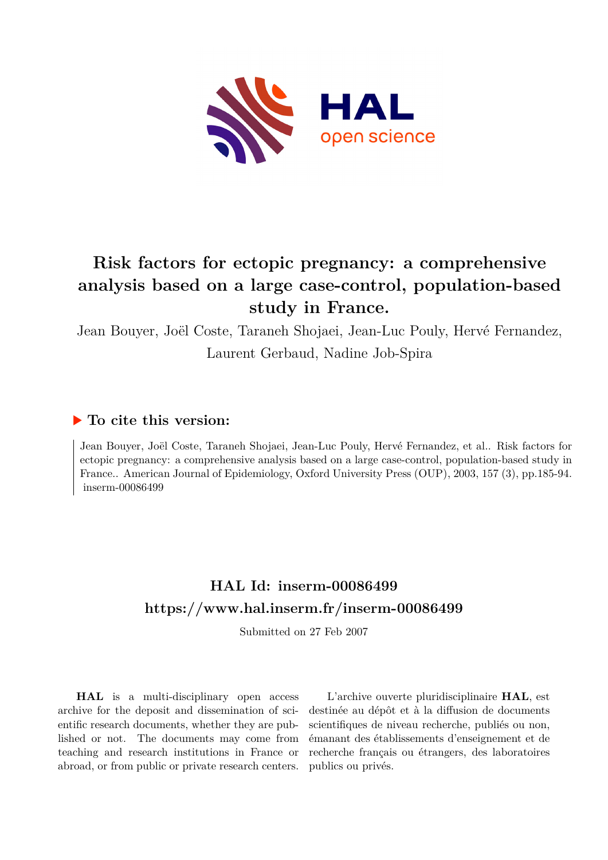

# **Risk factors for ectopic pregnancy: a comprehensive analysis based on a large case-control, population-based study in France.**

Jean Bouyer, Joël Coste, Taraneh Shojaei, Jean-Luc Pouly, Hervé Fernandez, Laurent Gerbaud, Nadine Job-Spira

## **To cite this version:**

Jean Bouyer, Joël Coste, Taraneh Shojaei, Jean-Luc Pouly, Hervé Fernandez, et al.. Risk factors for ectopic pregnancy: a comprehensive analysis based on a large case-control, population-based study in France.. American Journal of Epidemiology, Oxford University Press (OUP), 2003, 157 (3), pp.185-94.  $inserm-00086499$ 

# **HAL Id: inserm-00086499 <https://www.hal.inserm.fr/inserm-00086499>**

Submitted on 27 Feb 2007

**HAL** is a multi-disciplinary open access archive for the deposit and dissemination of scientific research documents, whether they are published or not. The documents may come from teaching and research institutions in France or abroad, or from public or private research centers.

L'archive ouverte pluridisciplinaire **HAL**, est destinée au dépôt et à la diffusion de documents scientifiques de niveau recherche, publiés ou non, émanant des établissements d'enseignement et de recherche français ou étrangers, des laboratoires publics ou privés.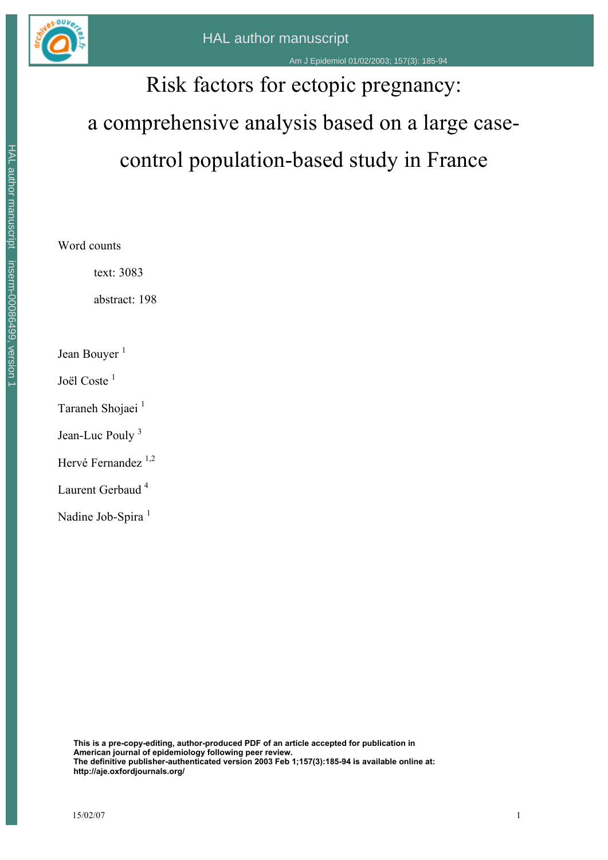

# Risk factors for ectopic pregnancy: a comprehensive analysis based on a large casecontrol population-based study in France

Word counts

text: 3083

abstract: 198

Jean Bouyer<sup>1</sup>

Joël Coste<sup>1</sup>

Taraneh Shojaei<sup>1</sup>

Jean-Luc Pouly<sup>3</sup>

Hervé Fernandez<sup>1,2</sup>

Laurent Gerbaud<sup>4</sup>

Nadine Job-Spira<sup>1</sup>

**This is a pre-copy-editing, author-produced PDF of an article accepted for publication in American journal of epidemiology following peer review. The definitive publisher-authenticated version 2003 Feb 1;157(3):185-94 is available online at: http://aje.oxford/2011/2013**<br> **http://aje.oxfordjournals.org/**<br>
Hender Scheen Hal and Scheen Hal and Scheen Hal and Scheen Hal and Nadine Job-Spira<br> **http://aje.oxfordjournals.org/**<br>
Hender Scheen Hal and Scheen 1<br>
This i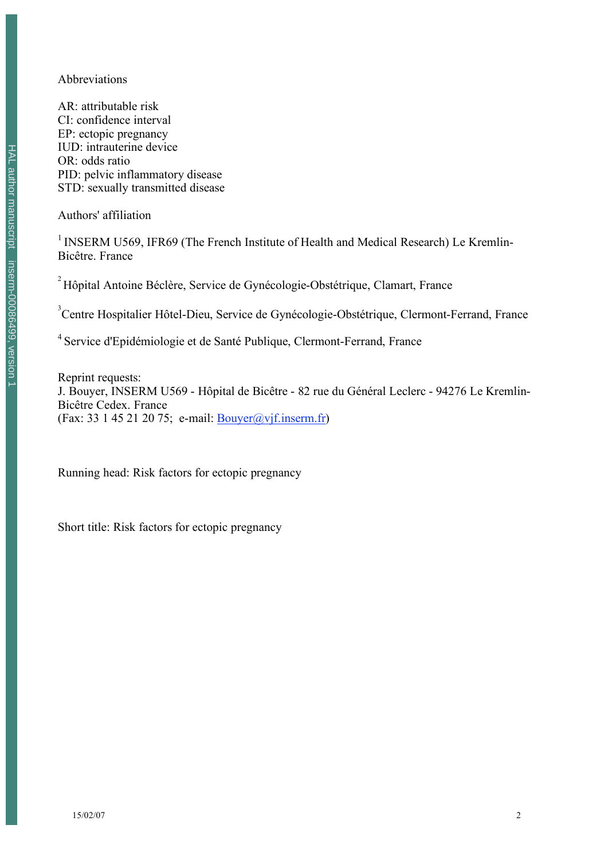#### Abbreviations

AR: attributable risk CI: confidence interval EP: ectopic pregnancy IUD: intrauterine device OR: odds ratio PID: pelvic inflammatory disease STD: sexually transmitted disease

Authors' affiliation

<sup>1</sup> INSERM U569, IFR69 (The French Institute of Health and Medical Research) Le Kremlin-Bicêtre. France

<sup>2</sup> Hôpital Antoine Béclère, Service de Gynécologie-Obstétrique, Clamart, France

<sup>3</sup>Centre Hospitalier Hôtel-Dieu, Service de Gynécologie-Obstétrique, Clermont-Ferrand, France

<sup>4</sup> Service d'Epidémiologie et de Santé Publique, Clermont-Ferrand, France

Reprint requests: J. Bouyer, INSERM U569 - Hôpital de Bicêtre - 82 rue du Général Leclerc - 94276 Le Kremlin-Bicêtre Cedex. France (Fax: 33 1 45 21 20 75; e-mail: Bouyer@vjf.inserm.fr)

Running head: Risk factors for ectopic pregnancy

Short title: Risk factors for ectopic pregnancy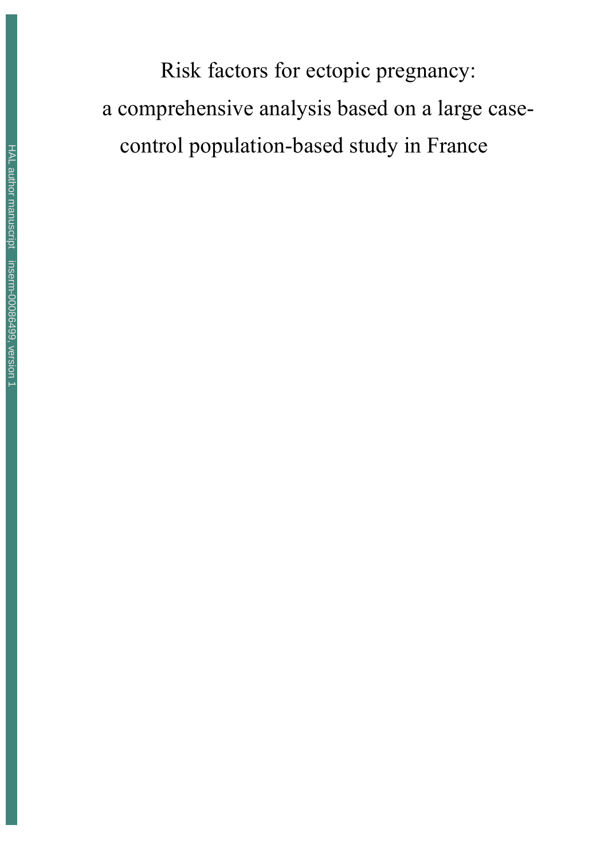Risk factors for ectopic pregnancy: a comprehensive analysis based on a large casecontrol population-based study in France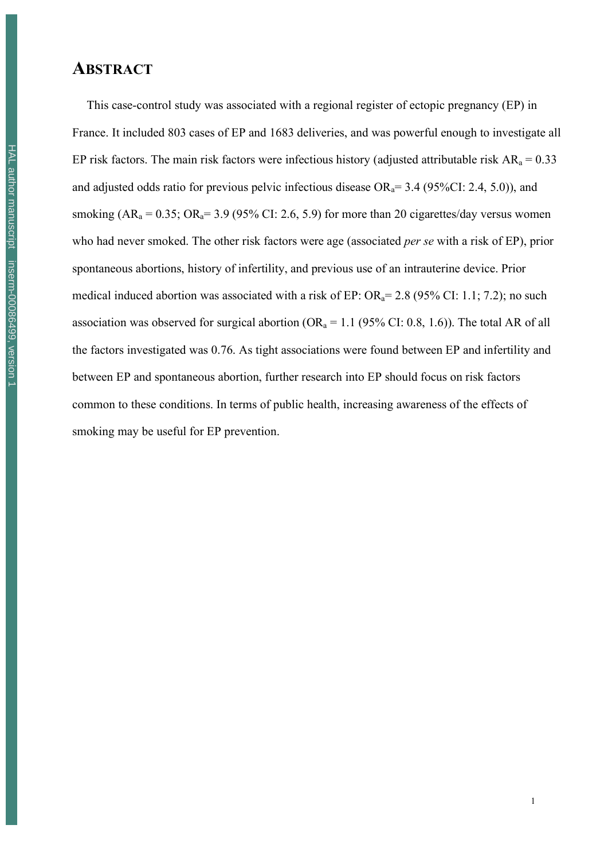# **ABSTRACT**

This case-control study was associated with a regional register of ectopic pregnancy (EP) in France. It included 803 cases of EP and 1683 deliveries, and was powerful enough to investigate all EP risk factors. The main risk factors were infectious history (adjusted attributable risk  $AR_a = 0.33$ and adjusted odds ratio for previous pelvic infectious disease  $OR_a = 3.4$  (95%CI: 2.4, 5.0)), and smoking  $(AR_a = 0.35; OR_a = 3.9 (95\% CI: 2.6, 5.9)$  for more than 20 cigarettes/day versus women who had never smoked. The other risk factors were age (associated *per se* with a risk of EP), prior spontaneous abortions, history of infertility, and previous use of an intrauterine device. Prior medical induced abortion was associated with a risk of EP:  $OR_a = 2.8$  (95% CI: 1.1; 7.2); no such association was observed for surgical abortion ( $OR_a = 1.1$  (95% CI: 0.8, 1.6)). The total AR of all the factors investigated was 0.76. As tight associations were found between EP and infertility and between EP and spontaneous abortion, further research into EP should focus on risk factors common to these conditions. In terms of public health, increasing awareness of the effects of smoking may be useful for EP prevention.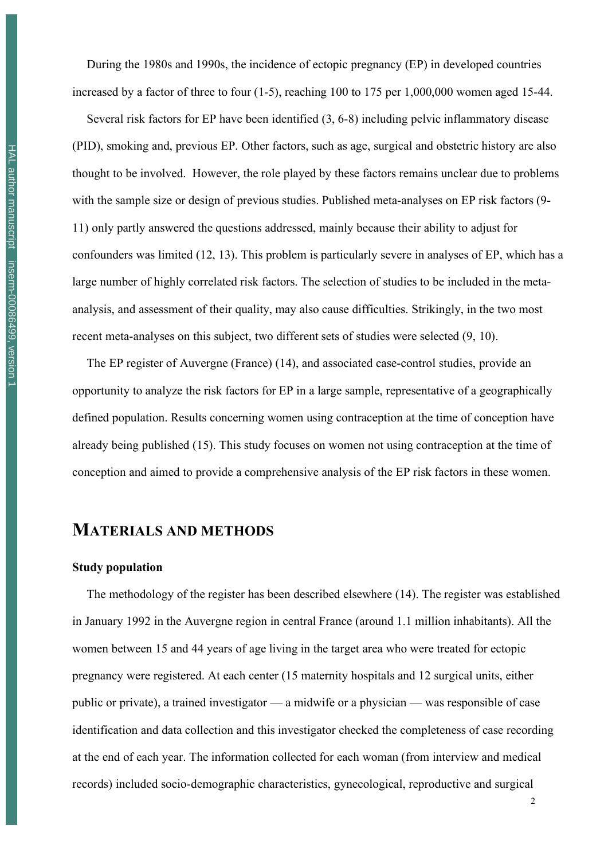During the 1980s and 1990s, the incidence of ectopic pregnancy (EP) in developed countries increased by a factor of three to four (1-5), reaching 100 to 175 per 1,000,000 women aged 15-44.

Several risk factors for EP have been identified (3, 6-8) including pelvic inflammatory disease (PID), smoking and, previous EP. Other factors, such as age, surgical and obstetric history are also thought to be involved. However, the role played by these factors remains unclear due to problems with the sample size or design of previous studies. Published meta-analyses on EP risk factors (9- 11) only partly answered the questions addressed, mainly because their ability to adjust for confounders was limited (12, 13). This problem is particularly severe in analyses of EP, which has a large number of highly correlated risk factors. The selection of studies to be included in the metaanalysis, and assessment of their quality, may also cause difficulties. Strikingly, in the two most recent meta-analyses on this subject, two different sets of studies were selected (9, 10).

The EP register of Auvergne (France) (14), and associated case-control studies, provide an opportunity to analyze the risk factors for EP in a large sample, representative of a geographically defined population. Results concerning women using contraception at the time of conception have already being published (15). This study focuses on women not using contraception at the time of conception and aimed to provide a comprehensive analysis of the EP risk factors in these women.

### **MATERIALS AND METHODS**

#### **Study population**

The methodology of the register has been described elsewhere (14). The register was established in January 1992 in the Auvergne region in central France (around 1.1 million inhabitants). All the women between 15 and 44 years of age living in the target area who were treated for ectopic pregnancy were registered. At each center (15 maternity hospitals and 12 surgical units, either public or private), a trained investigator — a midwife or a physician — was responsible of case identification and data collection and this investigator checked the completeness of case recording at the end of each year. The information collected for each woman (from interview and medical records) included socio-demographic characteristics, gynecological, reproductive and surgical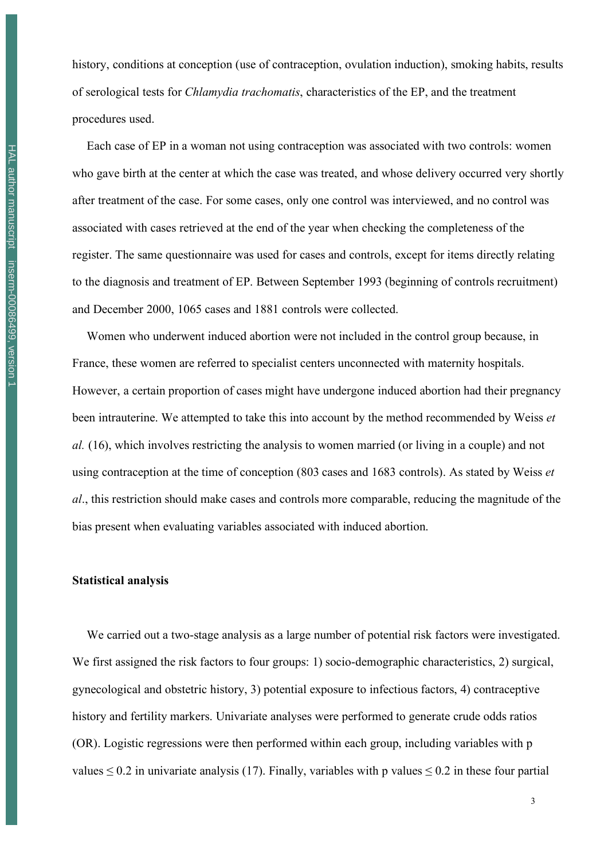history, conditions at conception (use of contraception, ovulation induction), smoking habits, results of serological tests for *Chlamydia trachomatis*, characteristics of the EP, and the treatment procedures used.

Each case of EP in a woman not using contraception was associated with two controls: women who gave birth at the center at which the case was treated, and whose delivery occurred very shortly after treatment of the case. For some cases, only one control was interviewed, and no control was associated with cases retrieved at the end of the year when checking the completeness of the register. The same questionnaire was used for cases and controls, except for items directly relating to the diagnosis and treatment of EP. Between September 1993 (beginning of controls recruitment) and December 2000, 1065 cases and 1881 controls were collected.

Women who underwent induced abortion were not included in the control group because, in France, these women are referred to specialist centers unconnected with maternity hospitals. However, a certain proportion of cases might have undergone induced abortion had their pregnancy been intrauterine. We attempted to take this into account by the method recommended by Weiss *et al.* (16), which involves restricting the analysis to women married (or living in a couple) and not using contraception at the time of conception (803 cases and 1683 controls). As stated by Weiss *et al*., this restriction should make cases and controls more comparable, reducing the magnitude of the bias present when evaluating variables associated with induced abortion.

#### **Statistical analysis**

We carried out a two-stage analysis as a large number of potential risk factors were investigated. We first assigned the risk factors to four groups: 1) socio-demographic characteristics, 2) surgical, gynecological and obstetric history, 3) potential exposure to infectious factors, 4) contraceptive history and fertility markers. Univariate analyses were performed to generate crude odds ratios (OR). Logistic regressions were then performed within each group, including variables with p values  $\leq 0.2$  in univariate analysis (17). Finally, variables with p values  $\leq 0.2$  in these four partial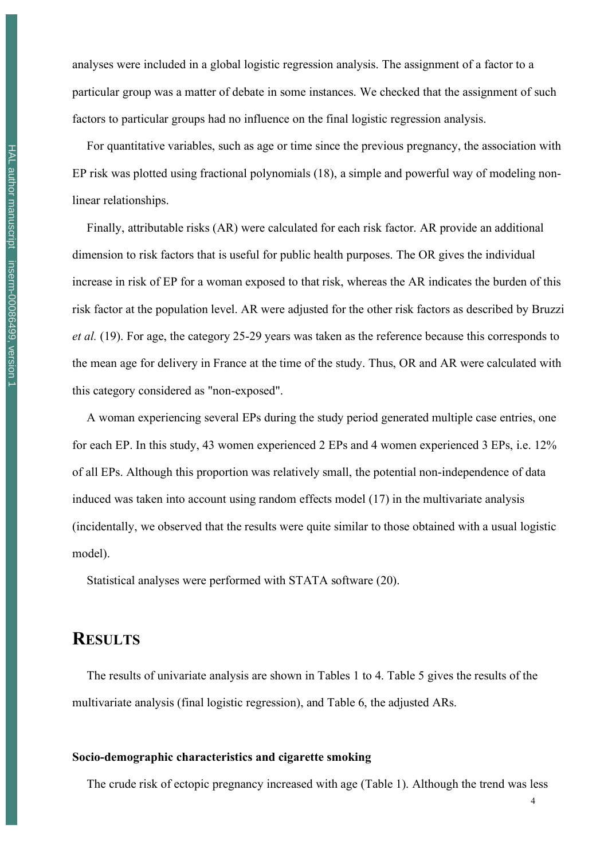analyses were included in a global logistic regression analysis. The assignment of a factor to a particular group was a matter of debate in some instances. We checked that the assignment of such factors to particular groups had no influence on the final logistic regression analysis.

For quantitative variables, such as age or time since the previous pregnancy, the association with EP risk was plotted using fractional polynomials (18), a simple and powerful way of modeling nonlinear relationships.

Finally, attributable risks (AR) were calculated for each risk factor. AR provide an additional dimension to risk factors that is useful for public health purposes. The OR gives the individual increase in risk of EP for a woman exposed to that risk, whereas the AR indicates the burden of this risk factor at the population level. AR were adjusted for the other risk factors as described by Bruzzi *et al.* (19). For age, the category 25-29 years was taken as the reference because this corresponds to the mean age for delivery in France at the time of the study. Thus, OR and AR were calculated with this category considered as "non-exposed".

A woman experiencing several EPs during the study period generated multiple case entries, one for each EP. In this study, 43 women experienced 2 EPs and 4 women experienced 3 EPs, i.e. 12% of all EPs. Although this proportion was relatively small, the potential non-independence of data induced was taken into account using random effects model (17) in the multivariate analysis (incidentally, we observed that the results were quite similar to those obtained with a usual logistic model).

Statistical analyses were performed with STATA software (20).

# **RESULTS**

The results of univariate analysis are shown in Tables 1 to 4. Table 5 gives the results of the multivariate analysis (final logistic regression), and Table 6, the adjusted ARs.

#### **Socio-demographic characteristics and cigarette smoking**

The crude risk of ectopic pregnancy increased with age (Table 1). Although the trend was less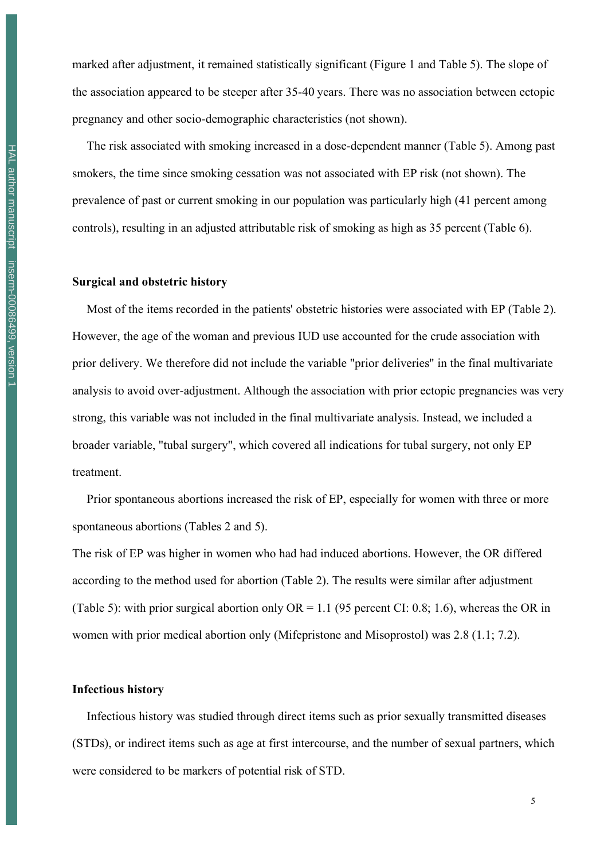marked after adjustment, it remained statistically significant (Figure 1 and Table 5). The slope of the association appeared to be steeper after 35-40 years. There was no association between ectopic pregnancy and other socio-demographic characteristics (not shown).

The risk associated with smoking increased in a dose-dependent manner (Table 5). Among past smokers, the time since smoking cessation was not associated with EP risk (not shown). The prevalence of past or current smoking in our population was particularly high (41 percent among controls), resulting in an adjusted attributable risk of smoking as high as 35 percent (Table 6).

#### **Surgical and obstetric history**

Most of the items recorded in the patients' obstetric histories were associated with EP (Table 2). However, the age of the woman and previous IUD use accounted for the crude association with prior delivery. We therefore did not include the variable "prior deliveries" in the final multivariate analysis to avoid over-adjustment. Although the association with prior ectopic pregnancies was very strong, this variable was not included in the final multivariate analysis. Instead, we included a broader variable, "tubal surgery", which covered all indications for tubal surgery, not only EP treatment.

Prior spontaneous abortions increased the risk of EP, especially for women with three or more spontaneous abortions (Tables 2 and 5).

The risk of EP was higher in women who had had induced abortions. However, the OR differed according to the method used for abortion (Table 2). The results were similar after adjustment (Table 5): with prior surgical abortion only  $OR = 1.1$  (95 percent CI: 0.8; 1.6), whereas the OR in women with prior medical abortion only (Mifepristone and Misoprostol) was 2.8 (1.1; 7.2).

#### **Infectious history**

Infectious history was studied through direct items such as prior sexually transmitted diseases (STDs), or indirect items such as age at first intercourse, and the number of sexual partners, which were considered to be markers of potential risk of STD.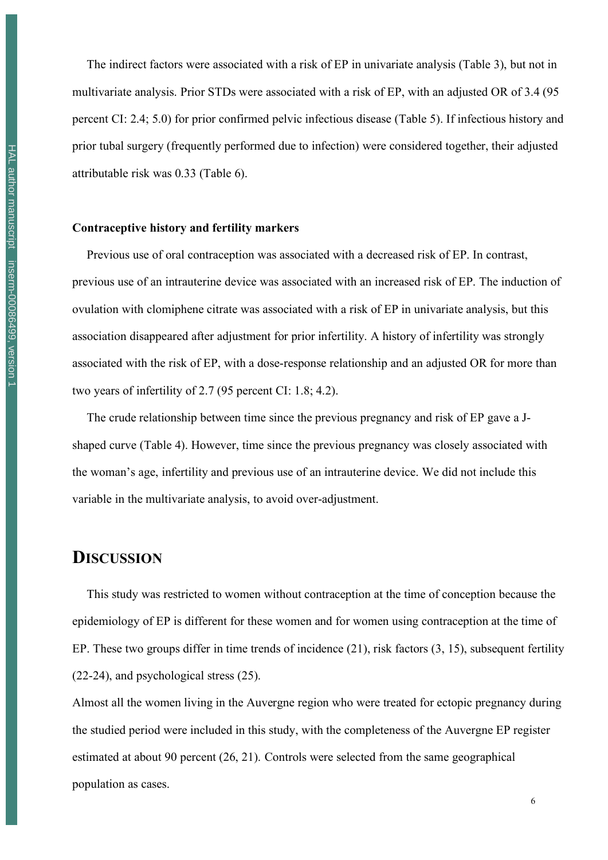The indirect factors were associated with a risk of EP in univariate analysis (Table 3), but not in multivariate analysis. Prior STDs were associated with a risk of EP, with an adjusted OR of 3.4 (95 percent CI: 2.4; 5.0) for prior confirmed pelvic infectious disease (Table 5). If infectious history and prior tubal surgery (frequently performed due to infection) were considered together, their adjusted attributable risk was 0.33 (Table 6).

#### **Contraceptive history and fertility markers**

Previous use of oral contraception was associated with a decreased risk of EP. In contrast, previous use of an intrauterine device was associated with an increased risk of EP. The induction of ovulation with clomiphene citrate was associated with a risk of EP in univariate analysis, but this association disappeared after adjustment for prior infertility. A history of infertility was strongly associated with the risk of EP, with a dose-response relationship and an adjusted OR for more than two years of infertility of 2.7 (95 percent CI: 1.8; 4.2).

The crude relationship between time since the previous pregnancy and risk of EP gave a Jshaped curve (Table 4). However, time since the previous pregnancy was closely associated with the woman's age, infertility and previous use of an intrauterine device. We did not include this variable in the multivariate analysis, to avoid over-adjustment.

## **DISCUSSION**

This study was restricted to women without contraception at the time of conception because the epidemiology of EP is different for these women and for women using contraception at the time of EP. These two groups differ in time trends of incidence (21), risk factors (3, 15), subsequent fertility (22-24), and psychological stress (25).

Almost all the women living in the Auvergne region who were treated for ectopic pregnancy during the studied period were included in this study, with the completeness of the Auvergne EP register estimated at about 90 percent (26, 21). Controls were selected from the same geographical population as cases.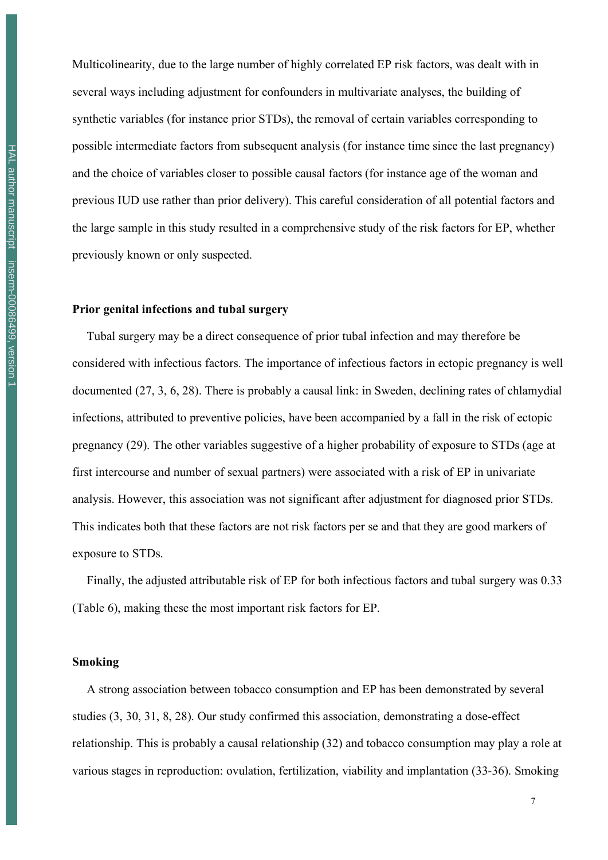HAL author manuscript inserm-00086499, version 1 HAL author manuscript inserm-00086499, version 1 Multicolinearity, due to the large number of highly correlated EP risk factors, was dealt with in several ways including adjustment for confounders in multivariate analyses, the building of synthetic variables (for instance prior STDs), the removal of certain variables corresponding to possible intermediate factors from subsequent analysis (for instance time since the last pregnancy) and the choice of variables closer to possible causal factors (for instance age of the woman and previous IUD use rather than prior delivery). This careful consideration of all potential factors and the large sample in this study resulted in a comprehensive study of the risk factors for EP, whether previously known or only suspected.

#### **Prior genital infections and tubal surgery**

Tubal surgery may be a direct consequence of prior tubal infection and may therefore be considered with infectious factors. The importance of infectious factors in ectopic pregnancy is well documented (27, 3, 6, 28). There is probably a causal link: in Sweden, declining rates of chlamydial infections, attributed to preventive policies, have been accompanied by a fall in the risk of ectopic pregnancy (29). The other variables suggestive of a higher probability of exposure to STDs (age at first intercourse and number of sexual partners) were associated with a risk of EP in univariate analysis. However, this association was not significant after adjustment for diagnosed prior STDs. This indicates both that these factors are not risk factors per se and that they are good markers of exposure to STDs.

Finally, the adjusted attributable risk of EP for both infectious factors and tubal surgery was 0.33 (Table 6), making these the most important risk factors for EP.

#### **Smoking**

A strong association between tobacco consumption and EP has been demonstrated by several studies (3, 30, 31, 8, 28). Our study confirmed this association, demonstrating a dose-effect relationship. This is probably a causal relationship (32) and tobacco consumption may play a role at various stages in reproduction: ovulation, fertilization, viability and implantation (33-36). Smoking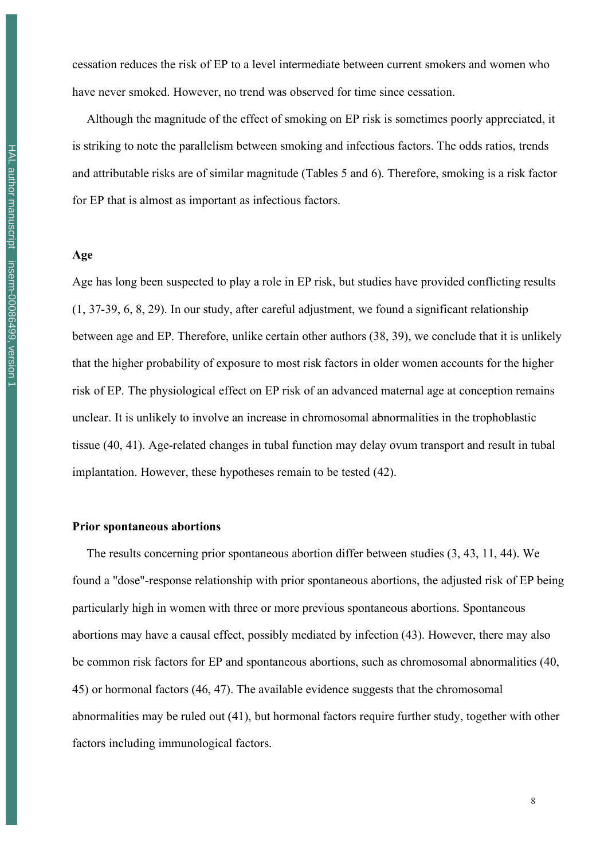cessation reduces the risk of EP to a level intermediate between current smokers and women who have never smoked. However, no trend was observed for time since cessation.

Although the magnitude of the effect of smoking on EP risk is sometimes poorly appreciated, it is striking to note the parallelism between smoking and infectious factors. The odds ratios, trends and attributable risks are of similar magnitude (Tables 5 and 6). Therefore, smoking is a risk factor for EP that is almost as important as infectious factors.

#### **Age**

Age has long been suspected to play a role in EP risk, but studies have provided conflicting results (1, 37-39, 6, 8, 29). In our study, after careful adjustment, we found a significant relationship between age and EP. Therefore, unlike certain other authors (38, 39), we conclude that it is unlikely that the higher probability of exposure to most risk factors in older women accounts for the higher risk of EP. The physiological effect on EP risk of an advanced maternal age at conception remains unclear. It is unlikely to involve an increase in chromosomal abnormalities in the trophoblastic tissue (40, 41). Age-related changes in tubal function may delay ovum transport and result in tubal implantation. However, these hypotheses remain to be tested (42).

#### **Prior spontaneous abortions**

The results concerning prior spontaneous abortion differ between studies (3, 43, 11, 44). We found a "dose"-response relationship with prior spontaneous abortions, the adjusted risk of EP being particularly high in women with three or more previous spontaneous abortions. Spontaneous abortions may have a causal effect, possibly mediated by infection (43). However, there may also be common risk factors for EP and spontaneous abortions, such as chromosomal abnormalities (40, 45) or hormonal factors (46, 47). The available evidence suggests that the chromosomal abnormalities may be ruled out (41), but hormonal factors require further study, together with other factors including immunological factors.

8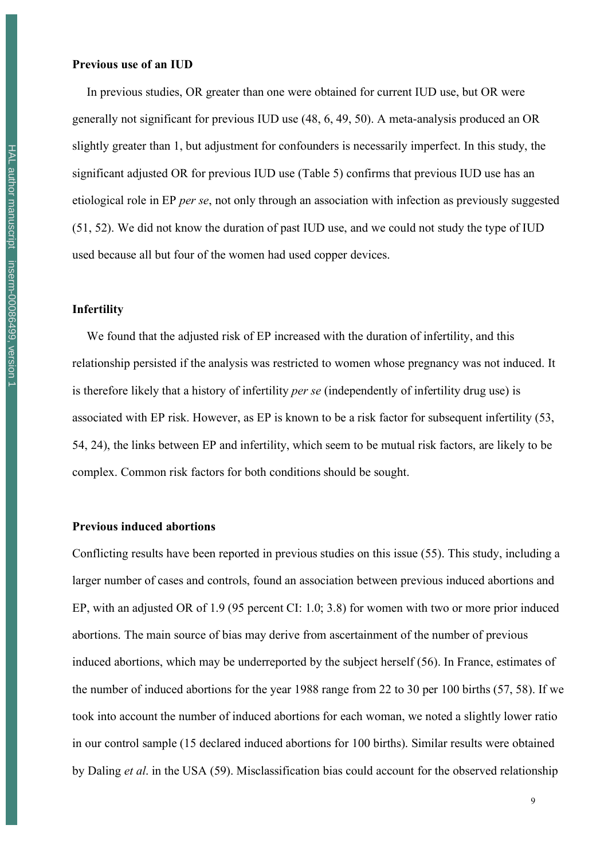In previous studies, OR greater than one were obtained for current IUD use, but OR were generally not significant for previous IUD use (48, 6, 49, 50). A meta-analysis produced an OR slightly greater than 1, but adjustment for confounders is necessarily imperfect. In this study, the significant adjusted OR for previous IUD use (Table 5) confirms that previous IUD use has an etiological role in EP *per se*, not only through an association with infection as previously suggested (51, 52). We did not know the duration of past IUD use, and we could not study the type of IUD used because all but four of the women had used copper devices.

#### **Infertility**

We found that the adjusted risk of EP increased with the duration of infertility, and this relationship persisted if the analysis was restricted to women whose pregnancy was not induced. It is therefore likely that a history of infertility *per se* (independently of infertility drug use) is associated with EP risk. However, as EP is known to be a risk factor for subsequent infertility (53, 54, 24), the links between EP and infertility, which seem to be mutual risk factors, are likely to be complex. Common risk factors for both conditions should be sought.

#### **Previous induced abortions**

Conflicting results have been reported in previous studies on this issue (55). This study, including a larger number of cases and controls, found an association between previous induced abortions and EP, with an adjusted OR of 1.9 (95 percent CI: 1.0; 3.8) for women with two or more prior induced abortions. The main source of bias may derive from ascertainment of the number of previous induced abortions, which may be underreported by the subject herself (56). In France, estimates of the number of induced abortions for the year 1988 range from 22 to 30 per 100 births (57, 58). If we took into account the number of induced abortions for each woman, we noted a slightly lower ratio in our control sample (15 declared induced abortions for 100 births). Similar results were obtained by Daling *et al*. in the USA (59). Misclassification bias could account for the observed relationship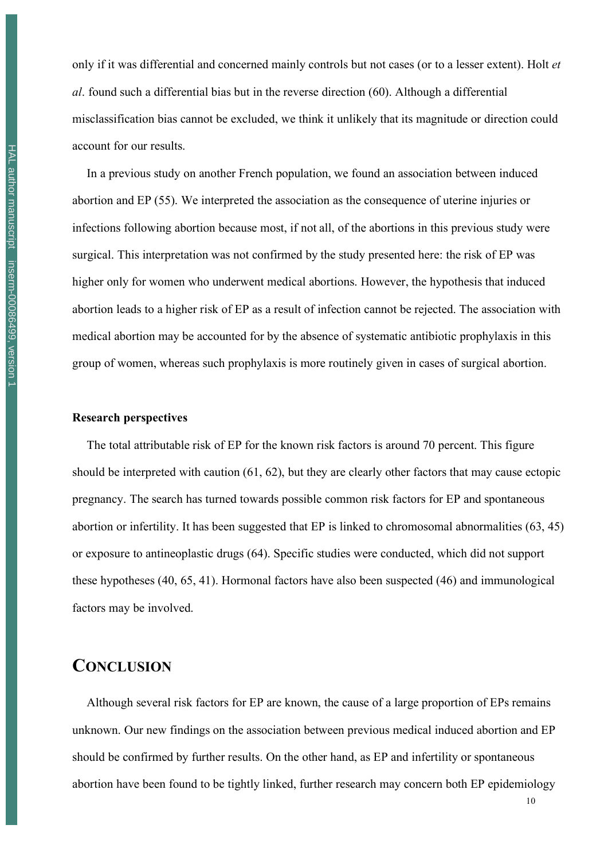only if it was differential and concerned mainly controls but not cases (or to a lesser extent). Holt *et al*. found such a differential bias but in the reverse direction (60). Although a differential misclassification bias cannot be excluded, we think it unlikely that its magnitude or direction could account for our results.

In a previous study on another French population, we found an association between induced abortion and EP (55). We interpreted the association as the consequence of uterine injuries or infections following abortion because most, if not all, of the abortions in this previous study were surgical. This interpretation was not confirmed by the study presented here: the risk of EP was higher only for women who underwent medical abortions. However, the hypothesis that induced abortion leads to a higher risk of EP as a result of infection cannot be rejected. The association with medical abortion may be accounted for by the absence of systematic antibiotic prophylaxis in this group of women, whereas such prophylaxis is more routinely given in cases of surgical abortion.

#### **Research perspectives**

The total attributable risk of EP for the known risk factors is around 70 percent. This figure should be interpreted with caution (61, 62), but they are clearly other factors that may cause ectopic pregnancy. The search has turned towards possible common risk factors for EP and spontaneous abortion or infertility. It has been suggested that EP is linked to chromosomal abnormalities (63, 45) or exposure to antineoplastic drugs (64). Specific studies were conducted, which did not support these hypotheses (40, 65, 41). Hormonal factors have also been suspected (46) and immunological factors may be involved.

# **CONCLUSION**

Although several risk factors for EP are known, the cause of a large proportion of EPs remains unknown. Our new findings on the association between previous medical induced abortion and EP should be confirmed by further results. On the other hand, as EP and infertility or spontaneous abortion have been found to be tightly linked, further research may concern both EP epidemiology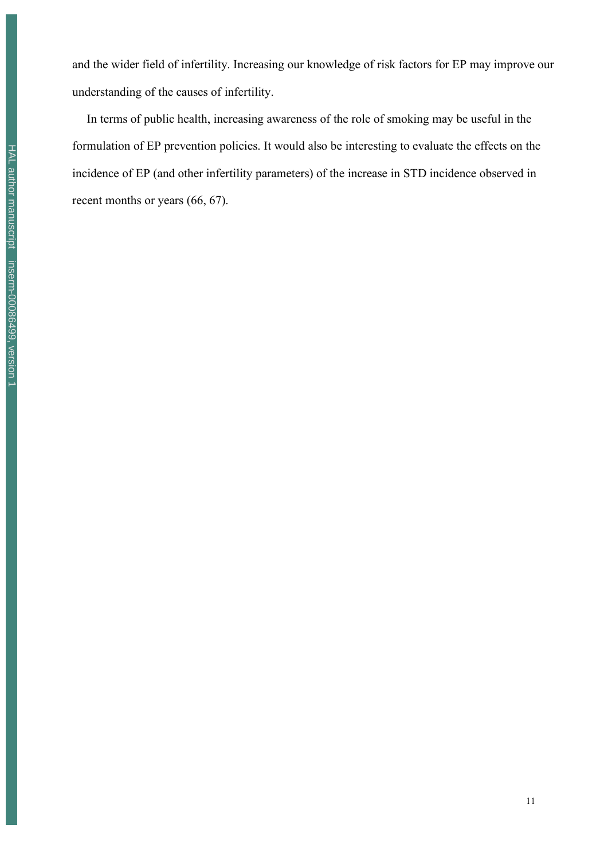and the wider field of infertility. Increasing our knowledge of risk factors for EP may improve our understanding of the causes of infertility.

In terms of public health, increasing awareness of the role of smoking may be useful in the formulation of EP prevention policies. It would also be interesting to evaluate the effects on the incidence of EP (and other infertility parameters) of the increase in STD incidence observed in recent months or years (66, 67).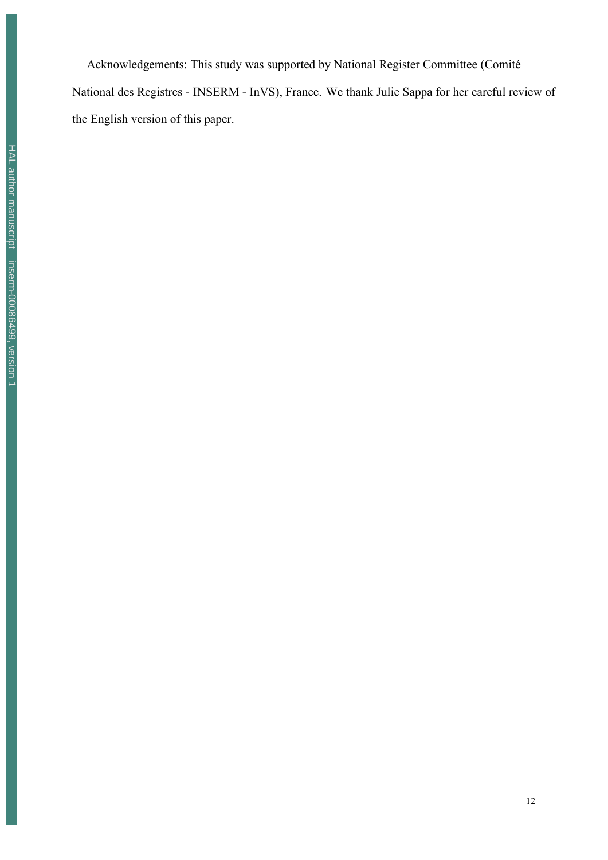Acknowledgements: This study was supported by National Register Committee (Comité National des Registres - INSERM - InVS), France. We thank Julie Sappa for her careful review of the English version of this paper.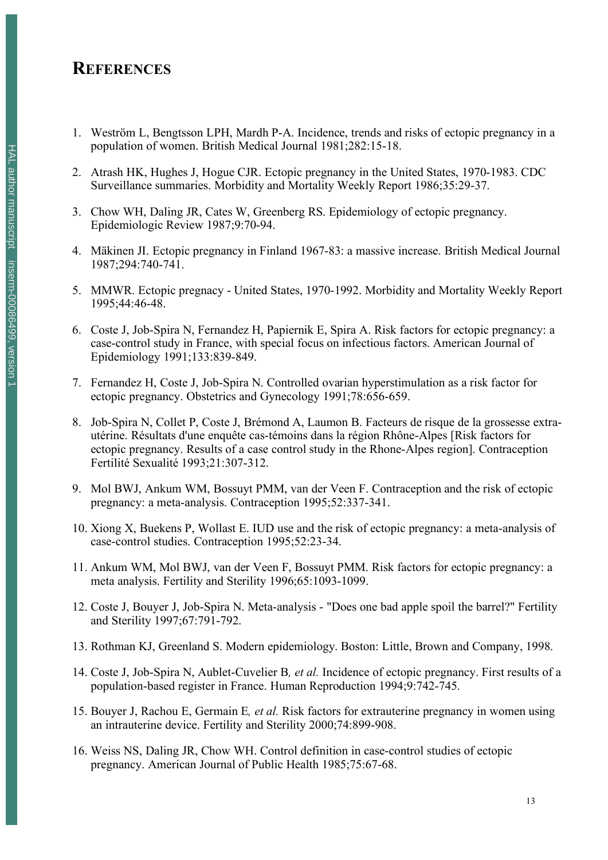# **REFERENCES**

- 1. Weström L, Bengtsson LPH, Mardh P-A. Incidence, trends and risks of ectopic pregnancy in a population of women. British Medical Journal 1981;282:15-18.
- 2. Atrash HK, Hughes J, Hogue CJR. Ectopic pregnancy in the United States, 1970-1983. CDC Surveillance summaries. Morbidity and Mortality Weekly Report 1986;35:29-37.
- 3. Chow WH, Daling JR, Cates W, Greenberg RS. Epidemiology of ectopic pregnancy. Epidemiologic Review 1987;9:70-94.
- 4. Mäkinen JI. Ectopic pregnancy in Finland 1967-83: a massive increase. British Medical Journal 1987;294:740-741.
- 5. MMWR. Ectopic pregnacy United States, 1970-1992. Morbidity and Mortality Weekly Report 1995;44:46-48.
- 6. Coste J, Job-Spira N, Fernandez H, Papiernik E, Spira A. Risk factors for ectopic pregnancy: a case-control study in France, with special focus on infectious factors. American Journal of Epidemiology 1991;133:839-849.
- 7. Fernandez H, Coste J, Job-Spira N. Controlled ovarian hyperstimulation as a risk factor for ectopic pregnancy. Obstetrics and Gynecology 1991;78:656-659.
- 8. Job-Spira N, Collet P, Coste J, Brémond A, Laumon B. Facteurs de risque de la grossesse extrautérine. Résultats d'une enquête cas-témoins dans la région Rhône-Alpes [Risk factors for ectopic pregnancy. Results of a case control study in the Rhone-Alpes region]. Contraception Fertilité Sexualité 1993;21:307-312.
- 9. Mol BWJ, Ankum WM, Bossuyt PMM, van der Veen F. Contraception and the risk of ectopic pregnancy: a meta-analysis. Contraception 1995;52:337-341.
- 10. Xiong X, Buekens P, Wollast E. IUD use and the risk of ectopic pregnancy: a meta-analysis of case-control studies. Contraception 1995;52:23-34.
- 11. Ankum WM, Mol BWJ, van der Veen F, Bossuyt PMM. Risk factors for ectopic pregnancy: a meta analysis. Fertility and Sterility 1996;65:1093-1099.
- 12. Coste J, Bouyer J, Job-Spira N. Meta-analysis "Does one bad apple spoil the barrel?" Fertility and Sterility 1997;67:791-792.
- 13. Rothman KJ, Greenland S. Modern epidemiology. Boston: Little, Brown and Company, 1998.
- 14. Coste J, Job-Spira N, Aublet-Cuvelier B*, et al.* Incidence of ectopic pregnancy. First results of a population-based register in France. Human Reproduction 1994;9:742-745.
- 15. Bouyer J, Rachou E, Germain E*, et al.* Risk factors for extrauterine pregnancy in women using an intrauterine device. Fertility and Sterility 2000;74:899-908.
- 16. Weiss NS, Daling JR, Chow WH. Control definition in case-control studies of ectopic pregnancy. American Journal of Public Health 1985;75:67-68.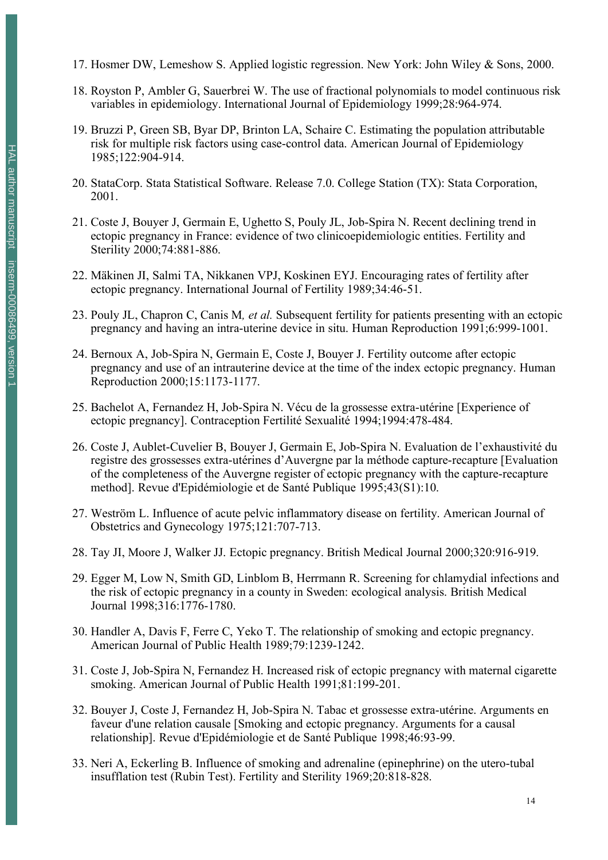- 17. Hosmer DW, Lemeshow S. Applied logistic regression. New York: John Wiley & Sons, 2000.
- 18. Royston P, Ambler G, Sauerbrei W. The use of fractional polynomials to model continuous risk variables in epidemiology. International Journal of Epidemiology 1999;28:964-974.
- 19. Bruzzi P, Green SB, Byar DP, Brinton LA, Schaire C. Estimating the population attributable risk for multiple risk factors using case-control data. American Journal of Epidemiology 1985;122:904-914.
- 20. StataCorp. Stata Statistical Software. Release 7.0. College Station (TX): Stata Corporation, 2001.
- 21. Coste J, Bouyer J, Germain E, Ughetto S, Pouly JL, Job-Spira N. Recent declining trend in ectopic pregnancy in France: evidence of two clinicoepidemiologic entities. Fertility and Sterility 2000;74:881-886.
- 22. Mäkinen JI, Salmi TA, Nikkanen VPJ, Koskinen EYJ. Encouraging rates of fertility after ectopic pregnancy. International Journal of Fertility 1989;34:46-51.
- 23. Pouly JL, Chapron C, Canis M*, et al.* Subsequent fertility for patients presenting with an ectopic pregnancy and having an intra-uterine device in situ. Human Reproduction 1991;6:999-1001.
- 24. Bernoux A, Job-Spira N, Germain E, Coste J, Bouyer J. Fertility outcome after ectopic pregnancy and use of an intrauterine device at the time of the index ectopic pregnancy. Human Reproduction 2000;15:1173-1177.
- 25. Bachelot A, Fernandez H, Job-Spira N. Vécu de la grossesse extra-utérine [Experience of ectopic pregnancy]. Contraception Fertilité Sexualité 1994;1994:478-484.
- 26. Coste J, Aublet-Cuvelier B, Bouyer J, Germain E, Job-Spira N. Evaluation de l'exhaustivité du registre des grossesses extra-utérines d'Auvergne par la méthode capture-recapture [Evaluation of the completeness of the Auvergne register of ectopic pregnancy with the capture-recapture method]. Revue d'Epidémiologie et de Santé Publique 1995;43(S1):10.
- 27. Weström L. Influence of acute pelvic inflammatory disease on fertility. American Journal of Obstetrics and Gynecology 1975;121:707-713.
- 28. Tay JI, Moore J, Walker JJ. Ectopic pregnancy. British Medical Journal 2000;320:916-919.
- 29. Egger M, Low N, Smith GD, Linblom B, Herrmann R. Screening for chlamydial infections and the risk of ectopic pregnancy in a county in Sweden: ecological analysis. British Medical Journal 1998;316:1776-1780.
- 30. Handler A, Davis F, Ferre C, Yeko T. The relationship of smoking and ectopic pregnancy. American Journal of Public Health 1989;79:1239-1242.
- 31. Coste J, Job-Spira N, Fernandez H. Increased risk of ectopic pregnancy with maternal cigarette smoking. American Journal of Public Health 1991;81:199-201.
- 32. Bouyer J, Coste J, Fernandez H, Job-Spira N. Tabac et grossesse extra-utérine. Arguments en faveur d'une relation causale [Smoking and ectopic pregnancy. Arguments for a causal relationship]. Revue d'Epidémiologie et de Santé Publique 1998;46:93-99.
- 33. Neri A, Eckerling B. Influence of smoking and adrenaline (epinephrine) on the utero-tubal insufflation test (Rubin Test). Fertility and Sterility 1969;20:818-828.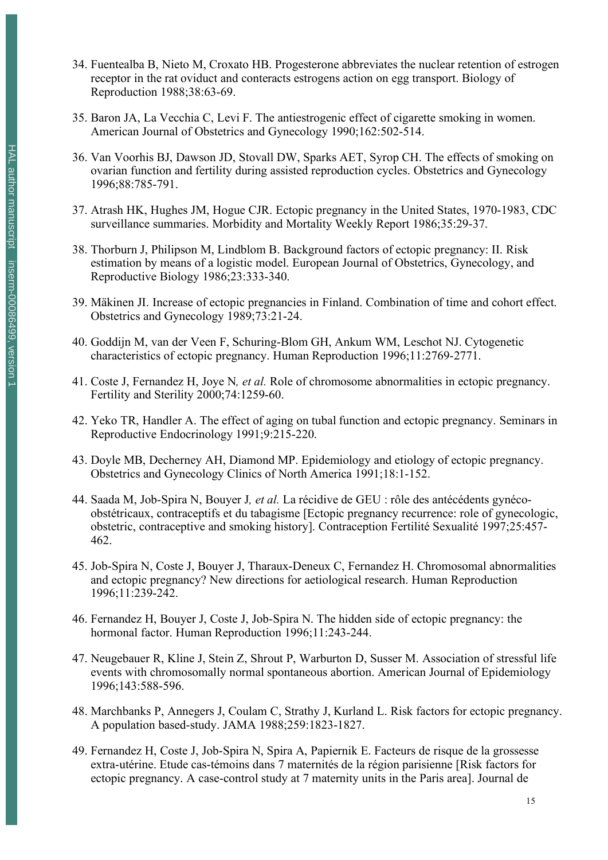- 34. Fuentealba B, Nieto M, Croxato HB. Progesterone abbreviates the nuclear retention of estrogen receptor in the rat oviduct and conteracts estrogens action on egg transport. Biology of Reproduction 1988;38:63-69.
- 35. Baron JA, La Vecchia C, Levi F. The antiestrogenic effect of cigarette smoking in women. American Journal of Obstetrics and Gynecology 1990;162:502-514.
- 36. Van Voorhis BJ, Dawson JD, Stovall DW, Sparks AET, Syrop CH. The effects of smoking on ovarian function and fertility during assisted reproduction cycles. Obstetrics and Gynecology 1996;88:785-791.
- 37. Atrash HK, Hughes JM, Hogue CJR. Ectopic pregnancy in the United States, 1970-1983, CDC surveillance summaries. Morbidity and Mortality Weekly Report 1986;35:29-37.
- 38. Thorburn J, Philipson M, Lindblom B. Background factors of ectopic pregnancy: II. Risk estimation by means of a logistic model. European Journal of Obstetrics, Gynecology, and Reproductive Biology 1986;23:333-340.
- 39. Mäkinen JI. Increase of ectopic pregnancies in Finland. Combination of time and cohort effect. Obstetrics and Gynecology 1989;73:21-24.
- 40. Goddijn M, van der Veen F, Schuring-Blom GH, Ankum WM, Leschot NJ. Cytogenetic characteristics of ectopic pregnancy. Human Reproduction 1996;11:2769-2771.
- 41. Coste J, Fernandez H, Joye N*, et al.* Role of chromosome abnormalities in ectopic pregnancy. Fertility and Sterility 2000;74:1259-60.
- 42. Yeko TR, Handler A. The effect of aging on tubal function and ectopic pregnancy. Seminars in Reproductive Endocrinology 1991;9:215-220.
- 43. Doyle MB, Decherney AH, Diamond MP. Epidemiology and etiology of ectopic pregnancy. Obstetrics and Gynecology Clinics of North America 1991;18:1-152.
- 44. Saada M, Job-Spira N, Bouyer J*, et al.* La récidive de GEU : rôle des antécédents gynécoobstétricaux, contraceptifs et du tabagisme [Ectopic pregnancy recurrence: role of gynecologic, obstetric, contraceptive and smoking history]. Contraception Fertilité Sexualité 1997;25:457- 462.
- 45. Job-Spira N, Coste J, Bouyer J, Tharaux-Deneux C, Fernandez H. Chromosomal abnormalities and ectopic pregnancy? New directions for aetiological research. Human Reproduction 1996;11:239-242.
- 46. Fernandez H, Bouyer J, Coste J, Job-Spira N. The hidden side of ectopic pregnancy: the hormonal factor. Human Reproduction 1996;11:243-244.
- 47. Neugebauer R, Kline J, Stein Z, Shrout P, Warburton D, Susser M. Association of stressful life events with chromosomally normal spontaneous abortion. American Journal of Epidemiology 1996;143:588-596.
- 48. Marchbanks P, Annegers J, Coulam C, Strathy J, Kurland L. Risk factors for ectopic pregnancy. A population based-study. JAMA 1988;259:1823-1827.
- 49. Fernandez H, Coste J, Job-Spira N, Spira A, Papiernik E. Facteurs de risque de la grossesse extra-utérine. Etude cas-témoins dans 7 maternités de la région parisienne [Risk factors for ectopic pregnancy. A case-control study at 7 maternity units in the Paris area]. Journal de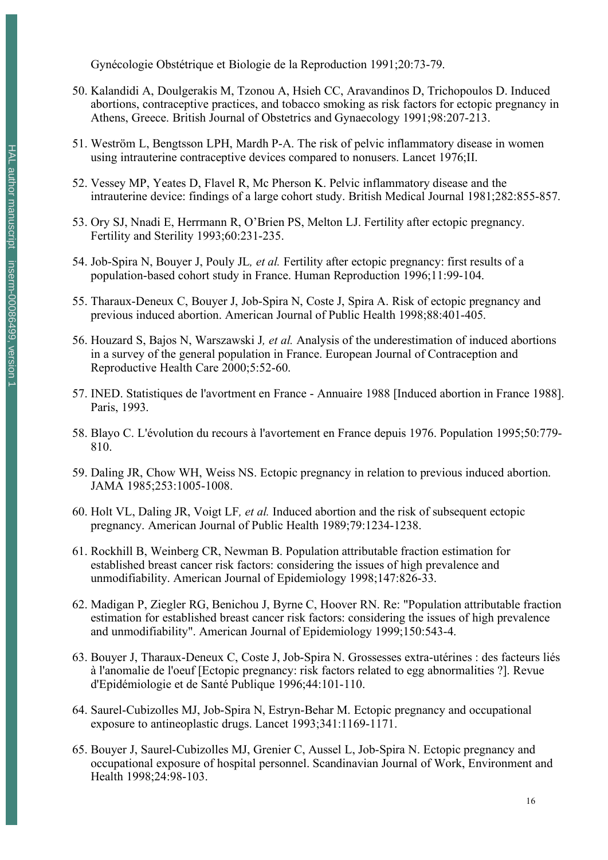Gynécologie Obstétrique et Biologie de la Reproduction 1991;20:73-79.

- 50. Kalandidi A, Doulgerakis M, Tzonou A, Hsieh CC, Aravandinos D, Trichopoulos D. Induced abortions, contraceptive practices, and tobacco smoking as risk factors for ectopic pregnancy in Athens, Greece. British Journal of Obstetrics and Gynaecology 1991;98:207-213.
- 51. Weström L, Bengtsson LPH, Mardh P-A. The risk of pelvic inflammatory disease in women using intrauterine contraceptive devices compared to nonusers. Lancet 1976;II.
- 52. Vessey MP, Yeates D, Flavel R, Mc Pherson K. Pelvic inflammatory disease and the intrauterine device: findings of a large cohort study. British Medical Journal 1981;282:855-857.
- 53. Ory SJ, Nnadi E, Herrmann R, O'Brien PS, Melton LJ. Fertility after ectopic pregnancy. Fertility and Sterility 1993;60:231-235.
- 54. Job-Spira N, Bouyer J, Pouly JL*, et al.* Fertility after ectopic pregnancy: first results of a population-based cohort study in France. Human Reproduction 1996;11:99-104.
- 55. Tharaux-Deneux C, Bouyer J, Job-Spira N, Coste J, Spira A. Risk of ectopic pregnancy and previous induced abortion. American Journal of Public Health 1998;88:401-405.
- 56. Houzard S, Bajos N, Warszawski J*, et al.* Analysis of the underestimation of induced abortions in a survey of the general population in France. European Journal of Contraception and Reproductive Health Care 2000;5:52-60.
- 57. INED. Statistiques de l'avortment en France Annuaire 1988 [Induced abortion in France 1988]. Paris, 1993.
- 58. Blayo C. L'évolution du recours à l'avortement en France depuis 1976. Population 1995;50:779- 810.
- 59. Daling JR, Chow WH, Weiss NS. Ectopic pregnancy in relation to previous induced abortion. JAMA 1985;253:1005-1008.
- 60. Holt VL, Daling JR, Voigt LF*, et al.* Induced abortion and the risk of subsequent ectopic pregnancy. American Journal of Public Health 1989;79:1234-1238.
- 61. Rockhill B, Weinberg CR, Newman B. Population attributable fraction estimation for established breast cancer risk factors: considering the issues of high prevalence and unmodifiability. American Journal of Epidemiology 1998;147:826-33.
- 62. Madigan P, Ziegler RG, Benichou J, Byrne C, Hoover RN. Re: "Population attributable fraction estimation for established breast cancer risk factors: considering the issues of high prevalence and unmodifiability". American Journal of Epidemiology 1999;150:543-4.
- 63. Bouyer J, Tharaux-Deneux C, Coste J, Job-Spira N. Grossesses extra-utérines : des facteurs liés à l'anomalie de l'oeuf [Ectopic pregnancy: risk factors related to egg abnormalities ?]. Revue d'Epidémiologie et de Santé Publique 1996;44:101-110.
- 64. Saurel-Cubizolles MJ, Job-Spira N, Estryn-Behar M. Ectopic pregnancy and occupational exposure to antineoplastic drugs. Lancet 1993;341:1169-1171.
- 65. Bouyer J, Saurel-Cubizolles MJ, Grenier C, Aussel L, Job-Spira N. Ectopic pregnancy and occupational exposure of hospital personnel. Scandinavian Journal of Work, Environment and Health 1998;24:98-103.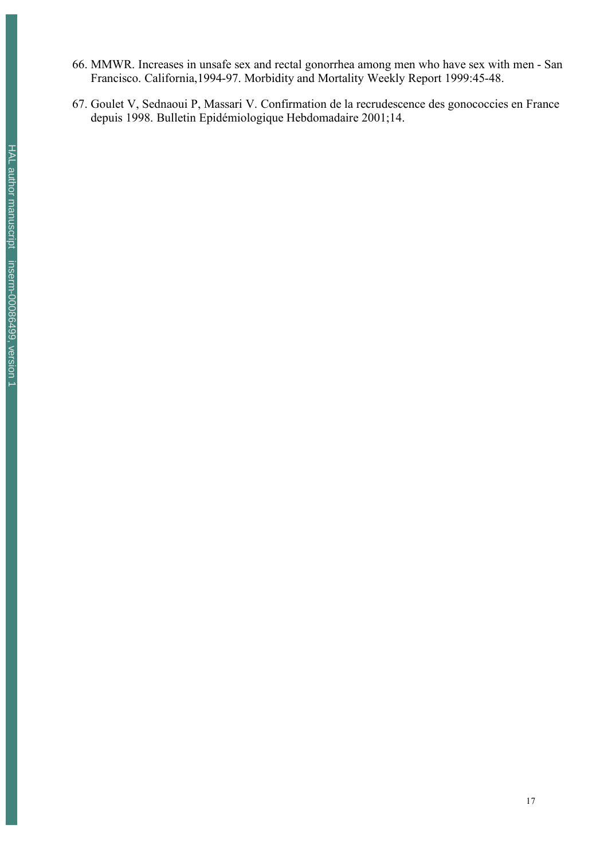- 66. MMWR. Increases in unsafe sex and rectal gonorrhea among men who have sex with men San Francisco. California,1994-97. Morbidity and Mortality Weekly Report 1999:45-48.
- 67. Goulet V, Sednaoui P, Massari V. Confirmation de la recrudescence des gonococcies en France depuis 1998. Bulletin Epidémiologique Hebdomadaire 2001;14.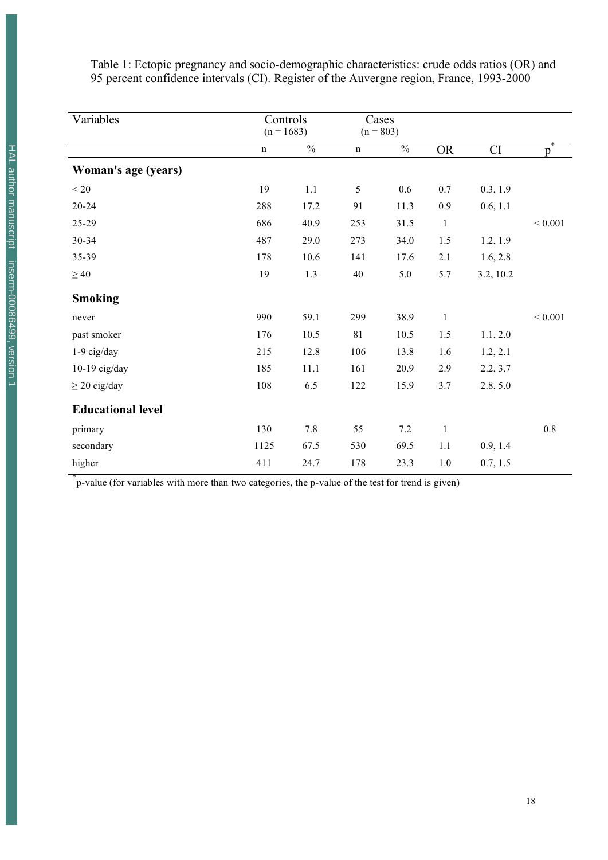Table 1: Ectopic pregnancy and socio-demographic characteristics: crude odds ratios (OR) and 95 percent confidence intervals (CI). Register of the Auvergne region, France, 1993-2000

| Variables                | Controls<br>$(n = 1683)$ |               | Cases<br>$(n = 803)$ |               |              |           |              |
|--------------------------|--------------------------|---------------|----------------------|---------------|--------------|-----------|--------------|
|                          | $\mathbf n$              | $\frac{0}{0}$ | $\mathbf n$          | $\frac{0}{0}$ | <b>OR</b>    | CI        | p            |
| Woman's age (years)      |                          |               |                      |               |              |           |              |
| $< 20$                   | 19                       | 1.1           | 5                    | 0.6           | 0.7          | 0.3, 1.9  |              |
| $20 - 24$                | 288                      | 17.2          | 91                   | 11.3          | 0.9          | 0.6, 1.1  |              |
| 25-29                    | 686                      | 40.9          | 253                  | 31.5          | $\mathbf{1}$ |           | ${}_{0.001}$ |
| 30-34                    | 487                      | 29.0          | 273                  | 34.0          | 1.5          | 1.2, 1.9  |              |
| 35-39                    | 178                      | 10.6          | 141                  | 17.6          | 2.1          | 1.6, 2.8  |              |
| $\geq 40$                | 19                       | 1.3           | 40                   | 5.0           | 5.7          | 3.2, 10.2 |              |
| <b>Smoking</b>           |                          |               |                      |               |              |           |              |
| never                    | 990                      | 59.1          | 299                  | 38.9          | $\mathbf{1}$ |           | ${}_{0.001}$ |
| past smoker              | 176                      | 10.5          | 81                   | 10.5          | 1.5          | 1.1, 2.0  |              |
| 1-9 cig/day              | 215                      | 12.8          | 106                  | 13.8          | 1.6          | 1.2, 2.1  |              |
| $10-19$ cig/day          | 185                      | 11.1          | 161                  | 20.9          | 2.9          | 2.2, 3.7  |              |
| $\geq$ 20 cig/day        | 108                      | 6.5           | 122                  | 15.9          | 3.7          | 2.8, 5.0  |              |
| <b>Educational level</b> |                          |               |                      |               |              |           |              |
| primary                  | 130                      | $7.8\,$       | 55                   | $7.2\,$       | $\mathbf{1}$ |           | $0.8\,$      |
| secondary                | 1125                     | 67.5          | 530                  | 69.5          | 1.1          | 0.9, 1.4  |              |
| higher                   | 411                      | 24.7          | 178                  | 23.3          | $1.0\,$      | 0.7, 1.5  |              |

\* p-value (for variables with more than two categories, the p-value of the test for trend is given)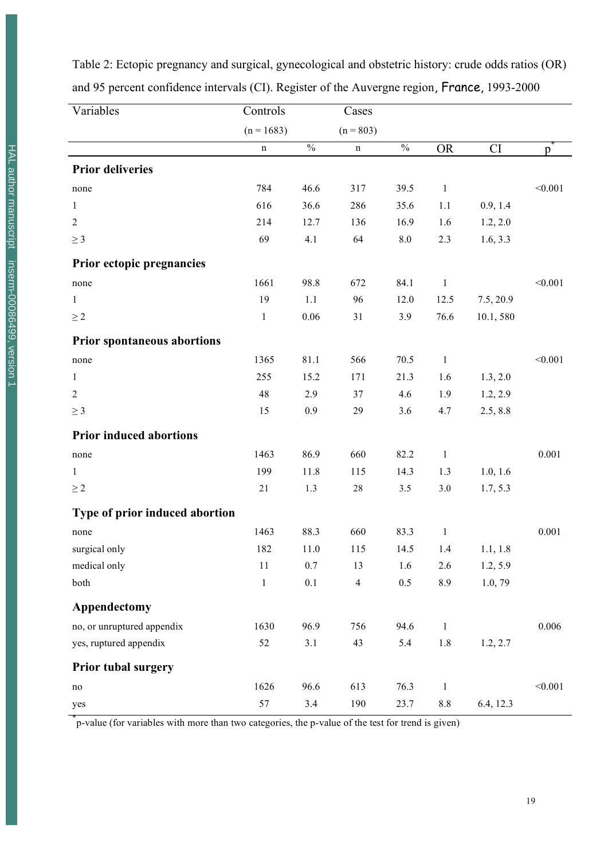| Variables                          | Controls     |                          | Cases                   |                          |              |           |         |
|------------------------------------|--------------|--------------------------|-------------------------|--------------------------|--------------|-----------|---------|
|                                    | $(n = 1683)$ |                          | $(n = 803)$             |                          |              |           |         |
|                                    | $\mathbf n$  | $\overline{\frac{0}{0}}$ | n                       | $\overline{\frac{0}{0}}$ | <b>OR</b>    | CI        | p       |
| <b>Prior deliveries</b>            |              |                          |                         |                          |              |           |         |
| none                               | 784          | 46.6                     | 317                     | 39.5                     | $\mathbf{1}$ |           | < 0.001 |
| 1                                  | 616          | 36.6                     | 286                     | 35.6                     | 1.1          | 0.9, 1.4  |         |
| $\overline{2}$                     | 214          | 12.7                     | 136                     | 16.9                     | 1.6          | 1.2, 2.0  |         |
| $\geq 3$                           | 69           | 4.1                      | 64                      | $8.0\,$                  | 2.3          | 1.6, 3.3  |         |
| Prior ectopic pregnancies          |              |                          |                         |                          |              |           |         |
| none                               | 1661         | 98.8                     | 672                     | 84.1                     | $\mathbf{1}$ |           | < 0.001 |
| $\mathbf{1}$                       | 19           | 1.1                      | 96                      | 12.0                     | 12.5         | 7.5, 20.9 |         |
| $\geq 2$                           | $\mathbf{1}$ | 0.06                     | 31                      | 3.9                      | 76.6         | 10.1,580  |         |
| <b>Prior spontaneous abortions</b> |              |                          |                         |                          |              |           |         |
| none                               | 1365         | 81.1                     | 566                     | 70.5                     | $\mathbf{1}$ |           | < 0.001 |
| 1                                  | 255          | 15.2                     | 171                     | 21.3                     | 1.6          | 1.3, 2.0  |         |
| $\overline{2}$                     | 48           | 2.9                      | 37                      | 4.6                      | 1.9          | 1.2, 2.9  |         |
| $\geq 3$                           | 15           | 0.9                      | 29                      | 3.6                      | 4.7          | 2.5, 8.8  |         |
| <b>Prior induced abortions</b>     |              |                          |                         |                          |              |           |         |
| none                               | 1463         | 86.9                     | 660                     | 82.2                     | $\mathbf{1}$ |           | 0.001   |
| $\mathbf{1}$                       | 199          | 11.8                     | 115                     | 14.3                     | 1.3          | 1.0, 1.6  |         |
| $\geq 2$                           | 21           | 1.3                      | $28\,$                  | 3.5                      | 3.0          | 1.7, 5.3  |         |
| Type of prior induced abortion     |              |                          |                         |                          |              |           |         |
| none                               | 1463         | 88.3                     | 660                     | 83.3                     | $\mathbf{1}$ |           | 0.001   |
| surgical only                      | 182          | 11.0                     | 115                     | 14.5                     | 1.4          | 1.1, 1.8  |         |
| medical only                       | 11           | $0.7\,$                  | 13                      | 1.6                      | 2.6          | 1.2, 5.9  |         |
| both                               | $\mathbf{1}$ | 0.1                      | $\overline{\mathbf{4}}$ | 0.5                      | 8.9          | 1.0, 79   |         |
| Appendectomy                       |              |                          |                         |                          |              |           |         |
| no, or unruptured appendix         | 1630         | 96.9                     | 756                     | 94.6                     | $\mathbf{1}$ |           | 0.006   |
| yes, ruptured appendix             | 52           | 3.1                      | 43                      | 5.4                      | 1.8          | 1.2, 2.7  |         |
| <b>Prior tubal surgery</b>         |              |                          |                         |                          |              |           |         |
| $\rm no$                           | 1626         | 96.6                     | 613                     | 76.3                     | $\mathbf{1}$ |           | < 0.001 |
| yes                                | 57           | 3.4                      | 190                     | 23.7                     | $8.8\,$      | 6.4, 12.3 |         |

Table 2: Ectopic pregnancy and surgical, gynecological and obstetric history: crude odds ratios (OR) and 95 percent confidence intervals (CI). Register of the Auvergne region, France, 1993-2000

\* p-value (for variables with more than two categories, the p-value of the test for trend is given)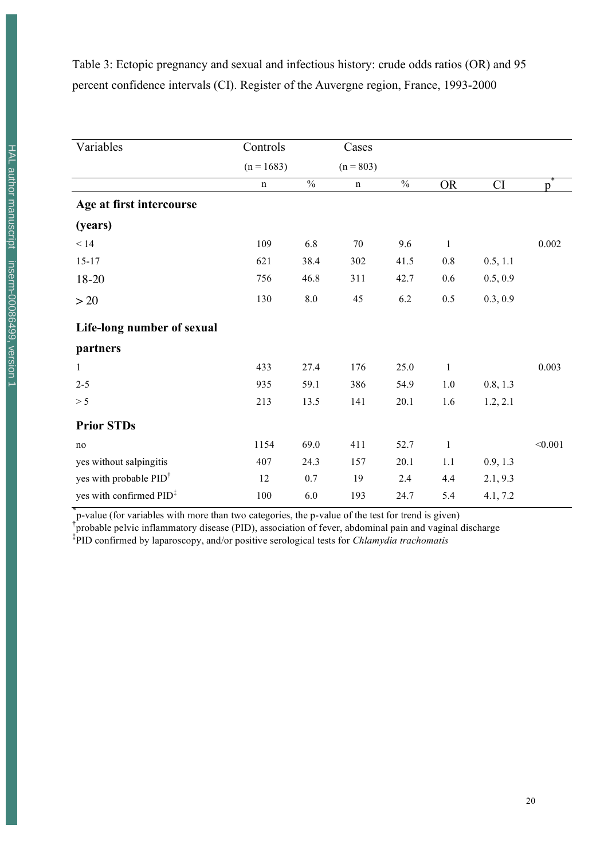Table 3: Ectopic pregnancy and sexual and infectious history: crude odds ratios (OR) and 95 percent confidence intervals (CI). Register of the Auvergne region, France, 1993-2000

| Variables                           | Controls     |                          | Cases       |               |              |          |         |
|-------------------------------------|--------------|--------------------------|-------------|---------------|--------------|----------|---------|
|                                     | $(n = 1683)$ |                          | $(n = 803)$ |               |              |          |         |
|                                     | $\mathbf n$  | $\overline{\frac{0}{0}}$ | $\mathbf n$ | $\frac{0}{0}$ | <b>OR</b>    | CI       | p       |
| Age at first intercourse            |              |                          |             |               |              |          |         |
| (years)                             |              |                          |             |               |              |          |         |
| $<14$                               | 109          | 6.8                      | 70          | 9.6           | $\mathbf{1}$ |          | 0.002   |
| $15 - 17$                           | 621          | 38.4                     | 302         | 41.5          | $0.8\,$      | 0.5, 1.1 |         |
| 18-20                               | 756          | 46.8                     | 311         | 42.7          | 0.6          | 0.5, 0.9 |         |
| >20                                 | 130          | $8.0\,$                  | 45          | 6.2           | 0.5          | 0.3, 0.9 |         |
| Life-long number of sexual          |              |                          |             |               |              |          |         |
| partners                            |              |                          |             |               |              |          |         |
| $\mathbf{1}$                        | 433          | 27.4                     | 176         | 25.0          | $\mathbf{1}$ |          | 0.003   |
| $2 - 5$                             | 935          | 59.1                     | 386         | 54.9          | $1.0\,$      | 0.8, 1.3 |         |
| > 5                                 | 213          | 13.5                     | 141         | 20.1          | 1.6          | 1.2, 2.1 |         |
| <b>Prior STDs</b>                   |              |                          |             |               |              |          |         |
| no                                  | 1154         | 69.0                     | 411         | 52.7          | $\mathbf{1}$ |          | < 0.001 |
| yes without salpingitis             | 407          | 24.3                     | 157         | 20.1          | 1.1          | 0.9, 1.3 |         |
| yes with probable PID <sup>†</sup>  | 12           | 0.7                      | 19          | 2.4           | 4.4          | 2.1, 9.3 |         |
| yes with confirmed PID <sup>‡</sup> | 100          | 6.0                      | 193         | 24.7          | 5.4          | 4.1, 7.2 |         |

\* p-value (for variables with more than two categories, the p-value of the test for trend is given) † probable pelvic inflammatory disease (PID), association of fever, abdominal pain and vaginal discharge

‡ PID confirmed by laparoscopy, and/or positive serological tests for *Chlamydia trachomatis*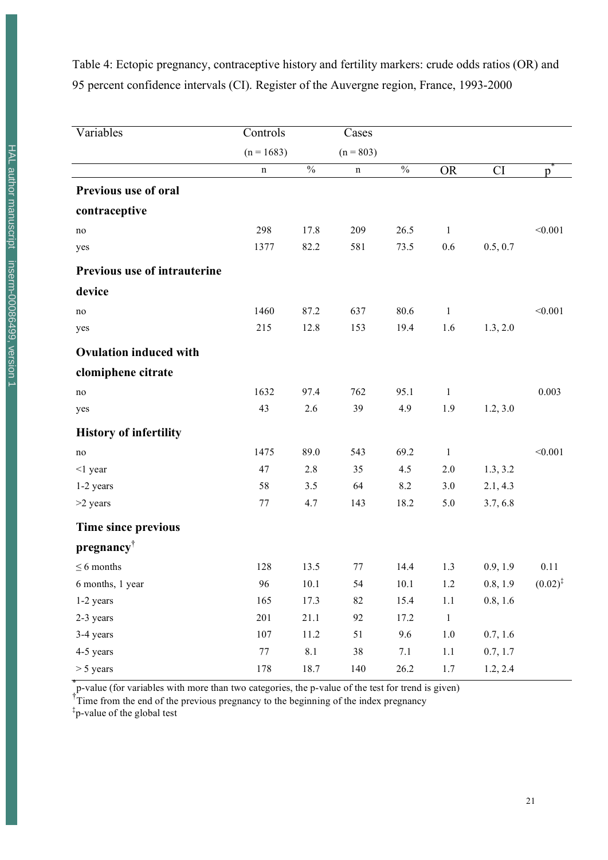Table 4: Ectopic pregnancy, contraceptive history and fertility markers: crude odds ratios (OR) and 95 percent confidence intervals (CI). Register of the Auvergne region, France, 1993-2000

| Variables                     | Controls     |                          | Cases       |                          |              |          |              |
|-------------------------------|--------------|--------------------------|-------------|--------------------------|--------------|----------|--------------|
|                               |              |                          |             |                          |              |          |              |
|                               | $(n = 1683)$ |                          | $(n = 803)$ |                          |              |          |              |
|                               | n            | $\overline{\frac{0}{0}}$ | n           | $\overline{\frac{0}{0}}$ | <b>OR</b>    | CI       | p            |
| <b>Previous use of oral</b>   |              |                          |             |                          |              |          |              |
| contraceptive                 |              |                          |             |                          |              |          |              |
| no                            | 298          | 17.8                     | 209         | 26.5                     | $\mathbf{1}$ |          | < 0.001      |
| yes                           | 1377         | 82.2                     | 581         | 73.5                     | 0.6          | 0.5, 0.7 |              |
| Previous use of intrauterine  |              |                          |             |                          |              |          |              |
| device                        |              |                          |             |                          |              |          |              |
| no                            | 1460         | 87.2                     | 637         | 80.6                     | $\mathbf{1}$ |          | < 0.001      |
| yes                           | 215          | 12.8                     | 153         | 19.4                     | 1.6          | 1.3, 2.0 |              |
| <b>Ovulation induced with</b> |              |                          |             |                          |              |          |              |
| clomiphene citrate            |              |                          |             |                          |              |          |              |
| no                            | 1632         | 97.4                     | 762         | 95.1                     | $\mathbf{1}$ |          | 0.003        |
| yes                           | 43           | 2.6                      | 39          | 4.9                      | 1.9          | 1.2, 3.0 |              |
| <b>History of infertility</b> |              |                          |             |                          |              |          |              |
| no                            | 1475         | 89.0                     | 543         | 69.2                     | $\mathbf{1}$ |          | < 0.001      |
| $<$ 1 year                    | 47           | 2.8                      | 35          | 4.5                      | 2.0          | 1.3, 3.2 |              |
| 1-2 years                     | 58           | 3.5                      | 64          | 8.2                      | 3.0          | 2.1, 4.3 |              |
| >2 years                      | 77           | 4.7                      | 143         | 18.2                     | 5.0          | 3.7, 6.8 |              |
| Time since previous           |              |                          |             |                          |              |          |              |
| pregnancy                     |              |                          |             |                          |              |          |              |
| $\leq 6$ months               | 128          | 13.5                     | 77          | 14.4                     | 1.3          | 0.9, 1.9 | 0.11         |
| 6 months, 1 year              | 96           | 10.1                     | 54          | 10.1                     | 1.2          | 0.8, 1.9 | $(0.02)^{3}$ |
| 1-2 years                     | 165          | 17.3                     | 82          | 15.4                     | $1.1\,$      | 0.8, 1.6 |              |
| 2-3 years                     | 201          | 21.1                     | 92          | 17.2                     | $\,1$        |          |              |
| 3-4 years                     | $107\,$      | $11.2\,$                 | 51          | $9.6\,$                  | $1.0\,$      | 0.7, 1.6 |              |
| 4-5 years                     | $77\,$       | $8.1\,$                  | $38\,$      | 7.1                      | $1.1\,$      | 0.7, 1.7 |              |
| $> 5$ years                   | 178          | 18.7                     | 140         | 26.2                     | 1.7          | 1.2, 2.4 |              |

\* p-value (for variables with more than two categories, the p-value of the test for trend is given)

<sup>†</sup>Time from the end of the previous pregnancy to the beginning of the index pregnancy

‡ p-value of the global test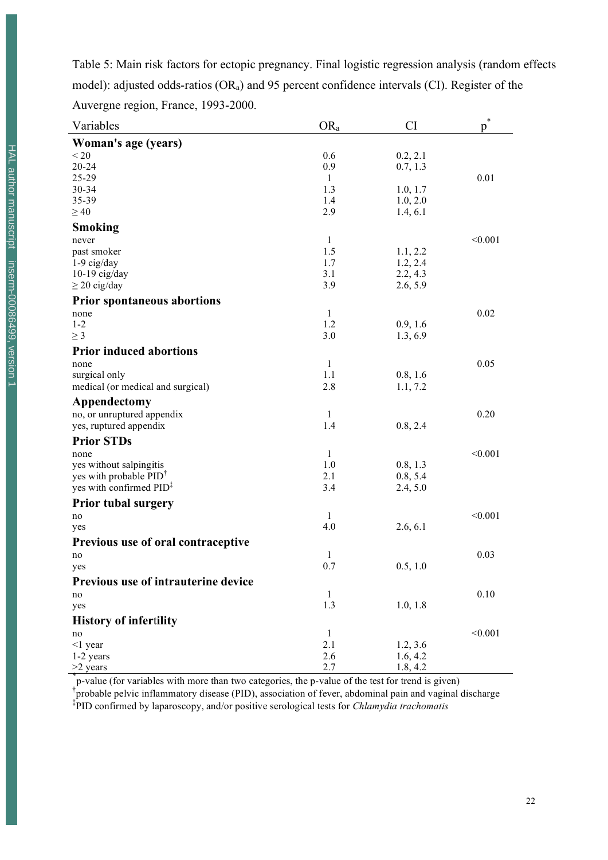| Tuble 5. Main flow haven't for ecoople pregnancy. I may togethe regression and you (fundom che    |     |          |      |  |
|---------------------------------------------------------------------------------------------------|-----|----------|------|--|
| model): adjusted odds-ratios ( $OR_a$ ) and 95 percent confidence intervals (CI). Register of the |     |          |      |  |
| Auvergne region, France, 1993-2000.                                                               |     |          |      |  |
| Variables                                                                                         | OR, | CI       |      |  |
| Woman's age (years)                                                                               |     |          |      |  |
| < 20                                                                                              | 0.6 | 0.2, 2.1 |      |  |
| 20-24                                                                                             | 0.9 | 0.7, 1.3 |      |  |
| 25-29                                                                                             |     |          | 0.01 |  |
|                                                                                                   |     |          |      |  |

Table 5: Main risk factors for ectopic pregnancy. Final logistic regression analysis (random effects model): adjusted odds-ratios  $(OR_a)$  and 95 percent confidence intervals (CI). Register of the

| 25-29                               | $\mathbf{1}$ |          | 0.01    |
|-------------------------------------|--------------|----------|---------|
| 30-34                               | 1.3          | 1.0, 1.7 |         |
| 35-39                               | 1.4          | 1.0, 2.0 |         |
| $\geq 40$                           | 2.9          | 1.4, 6.1 |         |
| <b>Smoking</b>                      |              |          |         |
| never                               | $\mathbf{1}$ |          | < 0.001 |
| past smoker                         | 1.5          | 1.1, 2.2 |         |
| $1-9$ cig/day                       | 1.7          | 1.2, 2.4 |         |
| $10-19$ cig/day                     | 3.1          | 2.2, 4.3 |         |
| $\geq$ 20 cig/day                   | 3.9          | 2.6, 5.9 |         |
| <b>Prior spontaneous abortions</b>  |              |          |         |
| none                                | $\mathbf{1}$ |          | 0.02    |
| $1 - 2$                             | 1.2          | 0.9, 1.6 |         |
| $\geq 3$                            | 3.0          | 1.3, 6.9 |         |
| <b>Prior induced abortions</b>      |              |          |         |
| none                                | $\mathbf{1}$ |          | 0.05    |
| surgical only                       | 1.1          | 0.8, 1.6 |         |
| medical (or medical and surgical)   | 2.8          | 1.1, 7.2 |         |
| Appendectomy                        |              |          |         |
| no, or unruptured appendix          | $\mathbf{1}$ |          | 0.20    |
| yes, ruptured appendix              | 1.4          | 0.8, 2.4 |         |
| <b>Prior STDs</b>                   |              |          |         |
| none                                | $\mathbf{1}$ |          | < 0.001 |
| yes without salpingitis             | 1.0          | 0.8, 1.3 |         |
| yes with probable PID <sup>†</sup>  | 2.1          | 0.8, 5.4 |         |
| yes with confirmed PID <sup>‡</sup> | 3.4          | 2.4, 5.0 |         |
| <b>Prior tubal surgery</b>          |              |          |         |
| no                                  | 1            |          | < 0.001 |
| yes                                 | 4.0          | 2.6, 6.1 |         |
| Previous use of oral contraceptive  |              |          |         |
| no                                  | 1            |          | 0.03    |
| yes                                 | 0.7          | 0.5, 1.0 |         |
| Previous use of intrauterine device |              |          |         |
| no                                  | 1            |          | 0.10    |
| yes                                 | 1.3          | 1.0, 1.8 |         |
| <b>History of infertility</b>       |              |          |         |
| no                                  | $\mathbf{1}$ |          | < 0.001 |
| $<$ 1 year                          | 2.1          | 1.2, 3.6 |         |
| 1-2 years                           | 2.6          | 1.6, 4.2 |         |
| $>2$ years                          | 2.7          | 1.8, 4.2 |         |
|                                     |              |          |         |

 $\frac{2.7}{p}$  uses and the p-value (for variables with more than two categories, the p-value of the test for trend is given)<br>The value (for variables with more than two categories, the p-value of the test for trend is given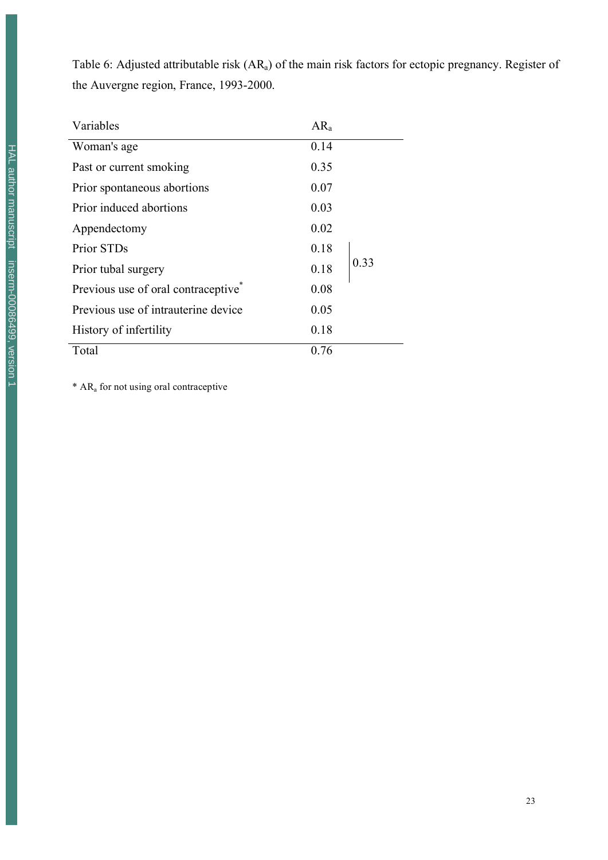Table 6: Adjusted attributable risk (ARa) of the main risk factors for ectopic pregnancy. Register of the Auvergne region, France, 1993-2000.

| Variables                                       | $AR_a$ |      |
|-------------------------------------------------|--------|------|
| Woman's age                                     | 0.14   |      |
| Past or current smoking                         | 0.35   |      |
| Prior spontaneous abortions                     | 0.07   |      |
| Prior induced abortions                         | 0.03   |      |
| Appendectomy                                    | 0.02   |      |
| Prior STDs                                      | 0.18   |      |
| Prior tubal surgery                             | 0.18   | 0.33 |
| Previous use of oral contraceptive <sup>7</sup> | 0.08   |      |
| Previous use of intrauterine device             | 0.05   |      |
| History of infertility                          | 0.18   |      |
| Total                                           | 0.76   |      |

\* ARa for not using oral contraceptive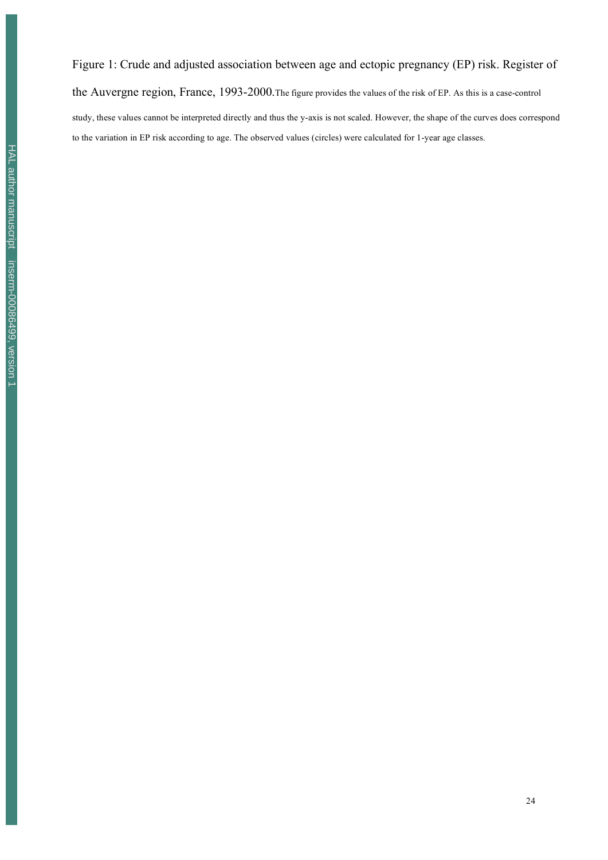Figure 1: Crude and adjusted association between age and ectopic pregnancy (EP) risk. Register of the Auvergne region, France, 1993-2000.The figure provides the values of the risk of EP. As this is a case-control study, these values cannot be interpreted directly and thus the y-axis is not scaled. However, the shape of the curves does correspond to the variation in EP risk according to age. The observed values (circles) were calculated for 1-year age classes.